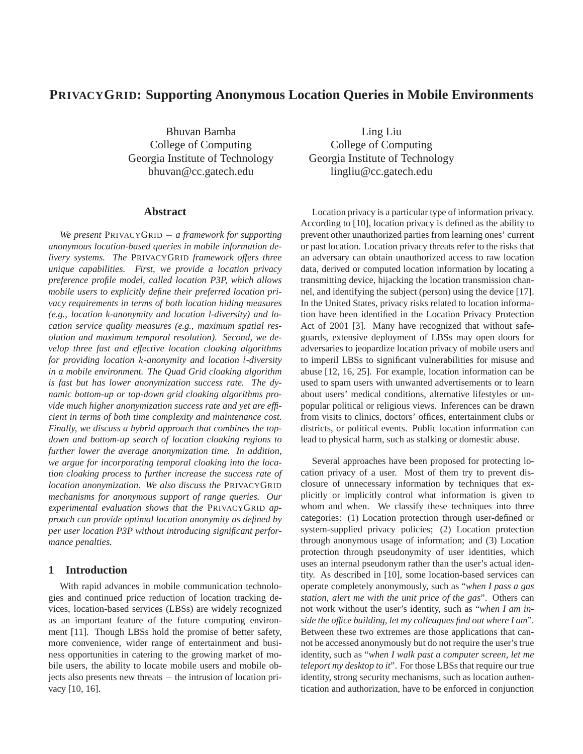# **PRIVACYGRID: Supporting Anonymous Location Queries in Mobile Environments**

Bhuvan Bamba College of Computing Georgia Institute of Technology bhuvan@cc.gatech.edu

## **Abstract**

*We present* PRIVACYGRID − *a framework for supporting anonymous location-based queries in mobile information delivery systems. The* PRIVACYGRID *framework offers three unique capabilities. First, we provide a location privacy preference profile model, called location P3P, which allows mobile users to explicitly define their preferred location privacy requirements in terms of both location hiding measures (e.g., location k-anonymity and location l-diversity) and location service quality measures (e.g., maximum spatial resolution and maximum temporal resolution). Second, we develop three fast and effective location cloaking algorithms for providing location* k*-anonymity and location* l*-diversity in a mobile environment. The Quad Grid cloaking algorithm is fast but has lower anonymization success rate. The dynamic bottom-up or top-down grid cloaking algorithms provide much higher anonymization success rate and yet are efficient in terms of both time complexity and maintenance cost. Finally, we discuss a hybrid approach that combines the topdown and bottom-up search of location cloaking regions to further lower the average anonymization time. In addition, we argue for incorporating temporal cloaking into the location cloaking process to further increase the success rate of location anonymization. We also discuss the* PRIVACYGRID *mechanisms for anonymous support of range queries. Our experimental evaluation shows that the* PRIVACYGRID *approach can provide optimal location anonymity as defined by per user location P3P without introducing significant performance penalties.*

# **1 Introduction**

With rapid advances in mobile communication technologies and continued price reduction of location tracking devices, location-based services (LBSs) are widely recognized as an important feature of the future computing environment [11]. Though LBSs hold the promise of better safety, more convenience, wider range of entertainment and business opportunities in catering to the growing market of mobile users, the ability to locate mobile users and mobile objects also presents new threats − the intrusion of location privacy [10, 16].

Ling Liu College of Computing Georgia Institute of Technology lingliu@cc.gatech.edu

Location privacy is a particular type of information privacy. According to [10], location privacy is defined as the ability to prevent other unauthorized parties from learning ones' current or past location. Location privacy threats refer to the risks that an adversary can obtain unauthorized access to raw location data, derived or computed location information by locating a transmitting device, hijacking the location transmission channel, and identifying the subject (person) using the device [17]. In the United States, privacy risks related to location information have been identified in the Location Privacy Protection Act of 2001 [3]. Many have recognized that without safeguards, extensive deployment of LBSs may open doors for adversaries to jeopardize location privacy of mobile users and to imperil LBSs to significant vulnerabilities for misuse and abuse [12, 16, 25]. For example, location information can be used to spam users with unwanted advertisements or to learn about users' medical conditions, alternative lifestyles or unpopular political or religious views. Inferences can be drawn from visits to clinics, doctors' offices, entertainment clubs or districts, or political events. Public location information can lead to physical harm, such as stalking or domestic abuse.

Several approaches have been proposed for protecting location privacy of a user. Most of them try to prevent disclosure of unnecessary information by techniques that explicitly or implicitly control what information is given to whom and when. We classify these techniques into three categories: (1) Location protection through user-defined or system-supplied privacy policies; (2) Location protection through anonymous usage of information; and (3) Location protection through pseudonymity of user identities, which uses an internal pseudonym rather than the user's actual identity. As described in [10], some location-based services can operate completely anonymously, such as "*when I pass a gas station, alert me with the unit price of the gas*". Others can not work without the user's identity, such as "*when I am inside the office building, let my colleagues find out where I am*". Between these two extremes are those applications that cannot be accessed anonymously but do not require the user's true identity, such as "*when I walk past a computer screen, let me teleport my desktop to it*". For those LBSs that require our true identity, strong security mechanisms, such as location authentication and authorization, have to be enforced in conjunction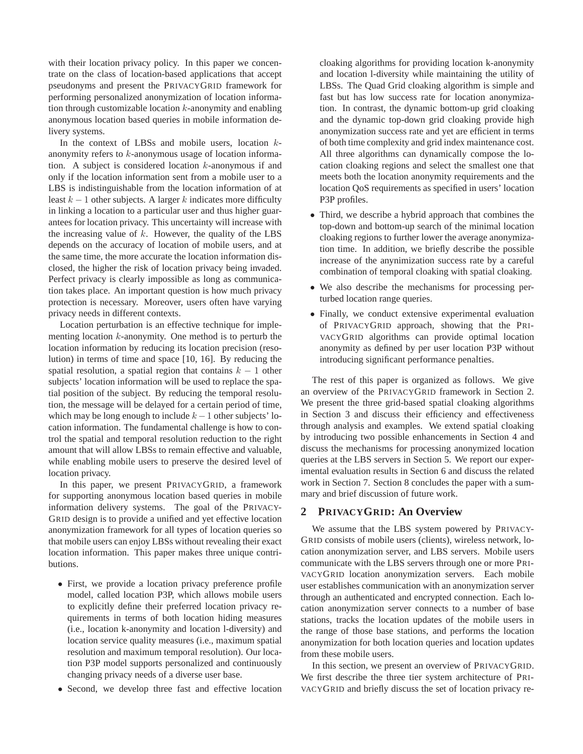with their location privacy policy. In this paper we concentrate on the class of location-based applications that accept pseudonyms and present the PRIVACYGRID framework for performing personalized anonymization of location information through customizable location  $k$ -anonymity and enabling anonymous location based queries in mobile information delivery systems.

In the context of LBSs and mobile users, location  $k$ anonymity refers to k-anonymous usage of location information. A subject is considered location k-anonymous if and only if the location information sent from a mobile user to a LBS is indistinguishable from the location information of at least  $k - 1$  other subjects. A larger k indicates more difficulty in linking a location to a particular user and thus higher guarantees for location privacy. This uncertainty will increase with the increasing value of  $k$ . However, the quality of the LBS depends on the accuracy of location of mobile users, and at the same time, the more accurate the location information disclosed, the higher the risk of location privacy being invaded. Perfect privacy is clearly impossible as long as communication takes place. An important question is how much privacy protection is necessary. Moreover, users often have varying privacy needs in different contexts.

Location perturbation is an effective technique for implementing location k-anonymity. One method is to perturb the location information by reducing its location precision (resolution) in terms of time and space [10, 16]. By reducing the spatial resolution, a spatial region that contains  $k - 1$  other subjects' location information will be used to replace the spatial position of the subject. By reducing the temporal resolution, the message will be delayed for a certain period of time, which may be long enough to include  $k - 1$  other subjects' location information. The fundamental challenge is how to control the spatial and temporal resolution reduction to the right amount that will allow LBSs to remain effective and valuable, while enabling mobile users to preserve the desired level of location privacy.

In this paper, we present PRIVACYGRID, a framework for supporting anonymous location based queries in mobile information delivery systems. The goal of the PRIVACY-GRID design is to provide a unified and yet effective location anonymization framework for all types of location queries so that mobile users can enjoy LBSs without revealing their exact location information. This paper makes three unique contributions.

- First, we provide a location privacy preference profile model, called location P3P, which allows mobile users to explicitly define their preferred location privacy requirements in terms of both location hiding measures (i.e., location k-anonymity and location l-diversity) and location service quality measures (i.e., maximum spatial resolution and maximum temporal resolution). Our location P3P model supports personalized and continuously changing privacy needs of a diverse user base.
- Second, we develop three fast and effective location

cloaking algorithms for providing location k-anonymity and location l-diversity while maintaining the utility of LBSs. The Quad Grid cloaking algorithm is simple and fast but has low success rate for location anonymization. In contrast, the dynamic bottom-up grid cloaking and the dynamic top-down grid cloaking provide high anonymization success rate and yet are efficient in terms of both time complexity and grid index maintenance cost. All three algorithms can dynamically compose the location cloaking regions and select the smallest one that meets both the location anonymity requirements and the location QoS requirements as specified in users' location P3P profiles.

- Third, we describe a hybrid approach that combines the top-down and bottom-up search of the minimal location cloaking regions to further lower the average anonymization time. In addition, we briefly describe the possible increase of the anynimization success rate by a careful combination of temporal cloaking with spatial cloaking.
- We also describe the mechanisms for processing perturbed location range queries.
- Finally, we conduct extensive experimental evaluation of PRIVACYGRID approach, showing that the PRI-VACYGRID algorithms can provide optimal location anonymity as defined by per user location P3P without introducing significant performance penalties.

The rest of this paper is organized as follows. We give an overview of the PRIVACYGRID framework in Section 2. We present the three grid-based spatial cloaking algorithms in Section 3 and discuss their efficiency and effectiveness through analysis and examples. We extend spatial cloaking by introducing two possible enhancements in Section 4 and discuss the mechanisms for processing anonymized location queries at the LBS servers in Section 5. We report our experimental evaluation results in Section 6 and discuss the related work in Section 7. Section 8 concludes the paper with a summary and brief discussion of future work.

## **2 PRIVACYGRID: An Overview**

We assume that the LBS system powered by PRIVACY-GRID consists of mobile users (clients), wireless network, location anonymization server, and LBS servers. Mobile users communicate with the LBS servers through one or more PRI-VACYGRID location anonymization servers. Each mobile user establishes communication with an anonymization server through an authenticated and encrypted connection. Each location anonymization server connects to a number of base stations, tracks the location updates of the mobile users in the range of those base stations, and performs the location anonymization for both location queries and location updates from these mobile users.

In this section, we present an overview of PRIVACYGRID. We first describe the three tier system architecture of PRI-VACYGRID and briefly discuss the set of location privacy re-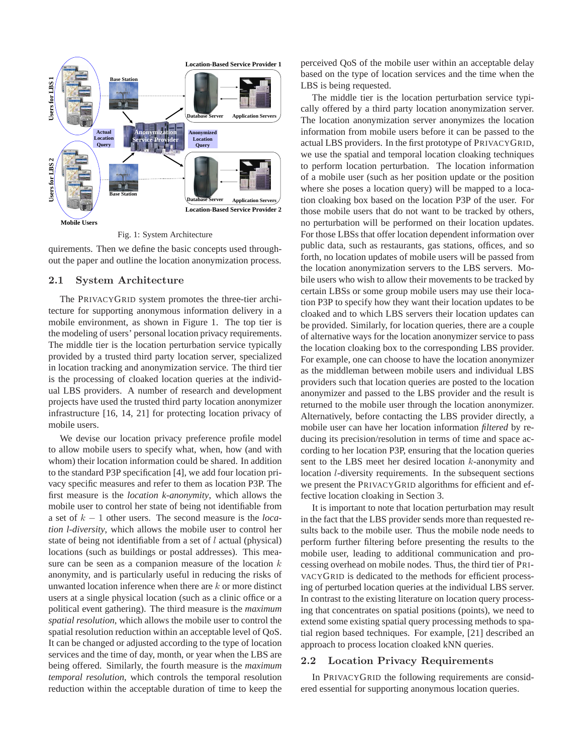

Fig. 1: System Architecture

quirements. Then we define the basic concepts used throughout the paper and outline the location anonymization process.

### 2.1 System Architecture

The PRIVACYGRID system promotes the three-tier architecture for supporting anonymous information delivery in a mobile environment, as shown in Figure 1. The top tier is the modeling of users' personal location privacy requirements. The middle tier is the location perturbation service typically provided by a trusted third party location server, specialized in location tracking and anonymization service. The third tier is the processing of cloaked location queries at the individual LBS providers. A number of research and development projects have used the trusted third party location anonymizer infrastructure [16, 14, 21] for protecting location privacy of mobile users.

We devise our location privacy preference profile model to allow mobile users to specify what, when, how (and with whom) their location information could be shared. In addition to the standard P3P specification [4], we add four location privacy specific measures and refer to them as location P3P. The first measure is the *location k-anonymity*, which allows the mobile user to control her state of being not identifiable from a set of k − 1 other users. The second measure is the *location l-diversity*, which allows the mobile user to control her state of being not identifiable from a set of l actual (physical) locations (such as buildings or postal addresses). This measure can be seen as a companion measure of the location  $k$ anonymity, and is particularly useful in reducing the risks of unwanted location inference when there are  $k$  or more distinct users at a single physical location (such as a clinic office or a political event gathering). The third measure is the *maximum spatial resolution*, which allows the mobile user to control the spatial resolution reduction within an acceptable level of QoS. It can be changed or adjusted according to the type of location services and the time of day, month, or year when the LBS are being offered. Similarly, the fourth measure is the *maximum temporal resolution*, which controls the temporal resolution reduction within the acceptable duration of time to keep the

perceived QoS of the mobile user within an acceptable delay based on the type of location services and the time when the LBS is being requested.

The middle tier is the location perturbation service typically offered by a third party location anonymization server. The location anonymization server anonymizes the location information from mobile users before it can be passed to the actual LBS providers. In the first prototype of PRIVACYGRID, we use the spatial and temporal location cloaking techniques to perform location perturbation. The location information of a mobile user (such as her position update or the position where she poses a location query) will be mapped to a location cloaking box based on the location P3P of the user. For those mobile users that do not want to be tracked by others, no perturbation will be performed on their location updates. For those LBSs that offer location dependent information over public data, such as restaurants, gas stations, offices, and so forth, no location updates of mobile users will be passed from the location anonymization servers to the LBS servers. Mobile users who wish to allow their movements to be tracked by certain LBSs or some group mobile users may use their location P3P to specify how they want their location updates to be cloaked and to which LBS servers their location updates can be provided. Similarly, for location queries, there are a couple of alternative ways for the location anonymizer service to pass the location cloaking box to the corresponding LBS provider. For example, one can choose to have the location anonymizer as the middleman between mobile users and individual LBS providers such that location queries are posted to the location anonymizer and passed to the LBS provider and the result is returned to the mobile user through the location anonymizer. Alternatively, before contacting the LBS provider directly, a mobile user can have her location information *filtered* by reducing its precision/resolution in terms of time and space according to her location P3P, ensuring that the location queries sent to the LBS meet her desired location k-anonymity and location l-diversity requirements. In the subsequent sections we present the PRIVACYGRID algorithms for efficient and effective location cloaking in Section 3.

It is important to note that location perturbation may result in the fact that the LBS provider sends more than requested results back to the mobile user. Thus the mobile node needs to perform further filtering before presenting the results to the mobile user, leading to additional communication and processing overhead on mobile nodes. Thus, the third tier of PRI-VACYGRID is dedicated to the methods for efficient processing of perturbed location queries at the individual LBS server. In contrast to the existing literature on location query processing that concentrates on spatial positions (points), we need to extend some existing spatial query processing methods to spatial region based techniques. For example, [21] described an approach to process location cloaked kNN queries.

### 2.2 Location Privacy Requirements

In PRIVACYGRID the following requirements are considered essential for supporting anonymous location queries.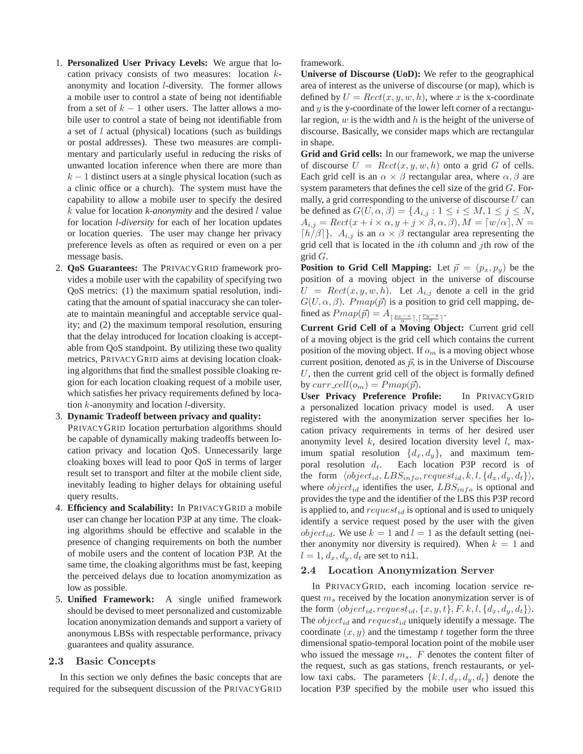- 1. **Personalized User Privacy Levels:** We argue that location privacy consists of two measures: location kanonymity and location l-diversity. The former allows a mobile user to control a state of being not identifiable from a set of  $k - 1$  other users. The latter allows a mobile user to control a state of being not identifiable from a set of  $l$  actual (physical) locations (such as buildings or postal addresses). These two measures are complimentary and particularly useful in reducing the risks of unwanted location inference when there are more than  $k - 1$  distinct users at a single physical location (such as a clinic office or a church). The system must have the capability to allow a mobile user to specify the desired k value for location *k-anonymity* and the desired l value for location *l-diversity* for each of her location updates or location queries. The user may change her privacy preference levels as often as required or even on a per message basis.
- 2. **QoS Guarantees:** The PRIVACYGRID framework provides a mobile user with the capability of specifying two QoS metrics: (1) the maximum spatial resolution, indicating that the amount of spatial inaccuracy she can tolerate to maintain meaningful and acceptable service quality; and (2) the maximum temporal resolution, ensuring that the delay introduced for location cloaking is acceptable from QoS standpoint. By utilizing these two quality metrics, PRIVACYGRID aims at devising location cloaking algorithms that find the smallest possible cloaking region for each location cloaking request of a mobile user, which satisfies her privacy requirements defined by location k-anonymity and location l-diversity.
- 3. **Dynamic Tradeoff between privacy and quality:** PRIVACYGRID location perturbation algorithms should be capable of dynamically making tradeoffs between location privacy and location QoS. Unnecessarily large cloaking boxes will lead to poor QoS in terms of larger result set to transport and filter at the mobile client side, inevitably leading to higher delays for obtaining useful query results.
- 4. **Efficiency and Scalability:** In PRIVACYGRID a mobile user can change her location P3P at any time. The cloaking algorithms should be effective and scalable in the presence of changing requirements on both the number of mobile users and the content of location P3P. At the same time, the cloaking algorithms must be fast, keeping the perceived delays due to location anomymization as low as possible.
- 5. **Unified Framework:** A single unified framework should be devised to meet personalized and customizable location anonymization demands and support a variety of anonymous LBSs with respectable performance, privacy guarantees and quality assurance.

## 2.3 Basic Concepts

In this section we only defines the basic concepts that are required for the subsequent discussion of the PRIVACYGRID framework.

**Universe of Discourse (UoD):** We refer to the geographical area of interest as the universe of discourse (or map), which is defined by  $U = Rect(x, y, w, h)$ , where x is the x-coordinate and  $y$  is the y-coordinate of the lower left corner of a rectangular region,  $w$  is the width and  $h$  is the height of the universe of discourse. Basically, we consider maps which are rectangular in shape.

**Grid and Grid cells:** In our framework, we map the universe of discourse  $U = Rect(x, y, w, h)$  onto a grid G of cells. Each grid cell is an  $\alpha \times \beta$  rectangular area, where  $\alpha, \beta$  are system parameters that defines the cell size of the grid  $G$ . Formally, a grid corresponding to the universe of discourse  $U$  can be defined as  $G(U, \alpha, \beta) = \{A_{i,j} : 1 \le i \le M, 1 \le j \le N,$  $A_{i,j} = Rect(x+i\times\alpha, y+j\times\beta, \alpha, \beta), M = \lceil w/\alpha \rceil, N =$  $\lceil h/\beta \rceil$ .  $A_{i,j}$  is an  $\alpha \times \beta$  rectangular area representing the grid cell that is located in the *i*th column and *j*th row of the  $\operatorname{grid} G$ .

**Position to Grid Cell Mapping:** Let  $\vec{p} = (p_x, p_y)$  be the position of a moving object in the universe of discourse  $U = Rect(x, y, w, h)$ . Let  $A_{i,j}$  denote a cell in the grid  $G(U, \alpha, \beta)$ . Pmap( $\vec{p}$ ) is a position to grid cell mapping, defined as  $Pmap(\vec{p}) = A_{\lceil \frac{p_x - x}{\alpha} \rceil, \lceil \frac{p_y - y}{\beta} \rceil}.$ 

**Current Grid Cell of a Moving Object:** Current grid cell of a moving object is the grid cell which contains the current position of the moving object. If  $o<sub>m</sub>$  is a moving object whose current position, denoted as  $\vec{p}$ , is in the Universe of Discourse  $U$ , then the current grid cell of the object is formally defined by curr-cell $(o_m) = Pmap(\vec{p}).$ 

**User Privacy Preference Profile:** In PRIVACYGRID a personalized location privacy model is used. A user registered with the anonymization server specifies her location privacy requirements in terms of her desired user anonymity level  $k$ , desired location diversity level  $l$ , maximum spatial resolution  $\{d_x, d_y\}$ , and maximum temporal resolution  $d_t$ . Each location P3P record is of the form  $\langle object_{id}, LBS_{info}, request_{id}, k, l, \{d_x, d_y, d_t\}\rangle$ , where  $object_{id}$  identifies the user,  $LBS_{info}$  is optional and provides the type and the identifier of the LBS this P3P record is applied to, and  $request_{id}$  is optional and is used to uniquely identify a service request posed by the user with the given *object<sub>id</sub>*. We use  $k = 1$  and  $l = 1$  as the default setting (neither anonymity nor diversity is required). When  $k = 1$  and  $l = 1, d_x, d_y, d_t$  are set to nil.

### 2.4 Location Anonymization Server

In PRIVACYGRID, each incoming location service request  $m<sub>s</sub>$  received by the location anonymization server is of the form  $\langle object_{id}, request_{id}, \{x, y, t\}, F, k, l, \{d_x, d_y, d_t\}\rangle.$ The *object<sub>id</sub>* and  $request_{id}$  uniquely identify a message. The coordinate  $(x, y)$  and the timestamp t together form the three dimensional spatio-temporal location point of the mobile user who issued the message  $m_s$ .  $F$  denotes the content filter of the request, such as gas stations, french restaurants, or yellow taxi cabs. The parameters  $\{k, l, d_x, d_y, d_t\}$  denote the location P3P specified by the mobile user who issued this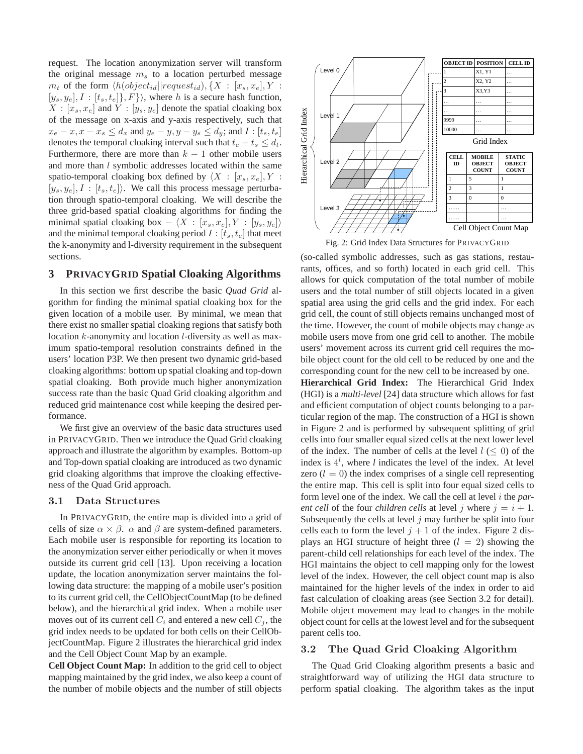request. The location anonymization server will transform the original message  $m<sub>s</sub>$  to a location perturbed message  $m_t$  of the form  $\langle h(object_{id}||request_{id}), \{X : [x_s, x_e], Y :$  $[y_s, y_e], I : [t_s, t_e], F$ , where h is a secure hash function,  $X : [x_s, x_e]$  and  $Y : [y_s, y_e]$  denote the spatial cloaking box of the message on x-axis and y-axis respectively, such that  $x_e - x, x - x_s \le d_x$  and  $y_e - y, y - y_s \le d_y$ ; and  $I : [t_s, t_e]$ denotes the temporal cloaking interval such that  $t_e - t_s \leq d_t$ . Furthermore, there are more than  $k - 1$  other mobile users and more than *l* symbolic addresses located within the same spatio-temporal cloaking box defined by  $\langle X : [x_s, x_e], Y :$  $[y_s, y_e], I : [t_s, t_e]$ . We call this process message perturbation through spatio-temporal cloaking. We will describe the three grid-based spatial cloaking algorithms for finding the minimal spatial cloaking box  $- \langle X : [x_s, x_e], Y : [y_s, y_e] \rangle$ and the minimal temporal cloaking period  $I : [t_s, t_e]$  that meet the k-anonymity and l-diversity requirement in the subsequent sections.

# **3 PRIVACYGRID Spatial Cloaking Algorithms**

In this section we first describe the basic *Quad Grid* algorithm for finding the minimal spatial cloaking box for the given location of a mobile user. By minimal, we mean that there exist no smaller spatial cloaking regions that satisfy both location k-anonymity and location *l*-diversity as well as maximum spatio-temporal resolution constraints defined in the users' location P3P. We then present two dynamic grid-based cloaking algorithms: bottom up spatial cloaking and top-down spatial cloaking. Both provide much higher anonymization success rate than the basic Quad Grid cloaking algorithm and reduced grid maintenance cost while keeping the desired performance.

We first give an overview of the basic data structures used in PRIVACYGRID. Then we introduce the Quad Grid cloaking approach and illustrate the algorithm by examples. Bottom-up and Top-down spatial cloaking are introduced as two dynamic grid cloaking algorithms that improve the cloaking effectiveness of the Quad Grid approach.

### 3.1 Data Structures

In PRIVACYGRID, the entire map is divided into a grid of cells of size  $\alpha \times \beta$ .  $\alpha$  and  $\beta$  are system-defined parameters. Each mobile user is responsible for reporting its location to the anonymization server either periodically or when it moves outside its current grid cell [13]. Upon receiving a location update, the location anonymization server maintains the following data structure: the mapping of a mobile user's position to its current grid cell, the CellObjectCountMap (to be defined below), and the hierarchical grid index. When a mobile user moves out of its current cell  $C_i$  and entered a new cell  $C_j$ , the grid index needs to be updated for both cells on their CellObjectCountMap. Figure 2 illustrates the hierarchical grid index and the Cell Object Count Map by an example.

**Cell Object Count Map:** In addition to the grid cell to object mapping maintained by the grid index, we also keep a count of the number of mobile objects and the number of still objects



Fig. 2: Grid Index Data Structures for PRIVACYGRID

(so-called symbolic addresses, such as gas stations, restaurants, offices, and so forth) located in each grid cell. This allows for quick computation of the total number of mobile users and the total number of still objects located in a given spatial area using the grid cells and the grid index. For each grid cell, the count of still objects remains unchanged most of the time. However, the count of mobile objects may change as mobile users move from one grid cell to another. The mobile users' movement across its current grid cell requires the mobile object count for the old cell to be reduced by one and the corresponding count for the new cell to be increased by one.

**Hierarchical Grid Index:** The Hierarchical Grid Index (HGI) is a *multi-level* [24] data structure which allows for fast and efficient computation of object counts belonging to a particular region of the map. The construction of a HGI is shown in Figure 2 and is performed by subsequent splitting of grid cells into four smaller equal sized cells at the next lower level of the index. The number of cells at the level  $l \leq 0$ ) of the index is  $4^l$ , where *l* indicates the level of the index. At level zero  $(l = 0)$  the index comprises of a single cell representing the entire map. This cell is split into four equal sized cells to form level one of the index. We call the cell at level i the *parent cell* of the four *children cells* at level j where  $j = i + 1$ . Subsequently the cells at level  $j$  may further be split into four cells each to form the level  $j + 1$  of the index. Figure 2 displays an HGI structure of height three  $(l = 2)$  showing the parent-child cell relationships for each level of the index. The HGI maintains the object to cell mapping only for the lowest level of the index. However, the cell object count map is also maintained for the higher levels of the index in order to aid fast calculation of cloaking areas (see Section 3.2 for detail). Mobile object movement may lead to changes in the mobile object count for cells at the lowest level and for the subsequent parent cells too.

# 3.2 The Quad Grid Cloaking Algorithm

The Quad Grid Cloaking algorithm presents a basic and straightforward way of utilizing the HGI data structure to perform spatial cloaking. The algorithm takes as the input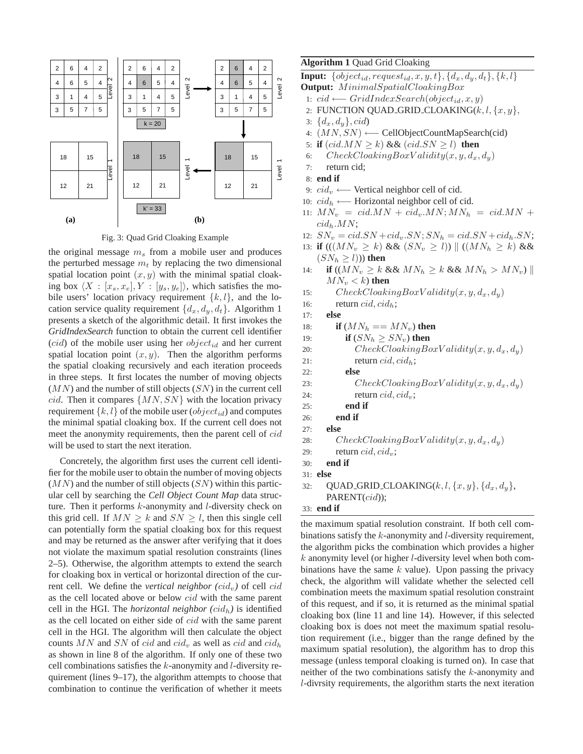



the original message  $m<sub>s</sub>$  from a mobile user and produces the perturbed message  $m_t$  by replacing the two dimensional spatial location point  $(x, y)$  with the minimal spatial cloaking box  $\langle X : [x_s, x_e], Y : [y_s, y_e] \rangle$ , which satisfies the mobile users' location privacy requirement  $\{k, l\}$ , and the location service quality requirement  $\{d_x, d_y, d_t\}$ . Algorithm 1 presents a sketch of the algorithmic detail. It first invokes the *GridIndexSearch* function to obtain the current cell identifier (*cid*) of the mobile user using her *object<sub>id</sub>* and her current spatial location point  $(x, y)$ . Then the algorithm performs the spatial cloaking recursively and each iteration proceeds in three steps. It first locates the number of moving objects  $(MN)$  and the number of still objects  $(SN)$  in the current cell cid. Then it compares  $\{MN, SN\}$  with the location privacy requirement  $\{k, l\}$  of the mobile user  $(object_{id})$  and computes the minimal spatial cloaking box. If the current cell does not meet the anonymity requirements, then the parent cell of cid will be used to start the next iteration.

Concretely, the algorithm first uses the current cell identifier for the mobile user to obtain the number of moving objects  $(MN)$  and the number of still objects  $(SN)$  within this particular cell by searching the *Cell Object Count Map* data structure. Then it performs  $k$ -anonymity and  $l$ -diversity check on this grid cell. If  $MN \ge k$  and  $SN \ge l$ , then this single cell can potentially form the spatial cloaking box for this request and may be returned as the answer after verifying that it does not violate the maximum spatial resolution constraints (lines 2–5). Otherwise, the algorithm attempts to extend the search for cloaking box in vertical or horizontal direction of the current cell. We define the *vertical neighbor*  $(cid_v)$  of cell  $cid$ as the cell located above or below *cid* with the same parent cell in the HGI. The *horizontal neighbor*  $(cid_h)$  is identified as the cell located on either side of *cid* with the same parent cell in the HGI. The algorithm will then calculate the object counts MN and SN of cid and cid<sub>v</sub> as well as cid and cid<sub>h</sub> as shown in line 8 of the algorithm. If only one of these two cell combinations satisfies the  $k$ -anonymity and  $l$ -diversity requirement (lines 9–17), the algorithm attempts to choose that combination to continue the verification of whether it meets

**Algorithm 1** Quad Grid Cloaking

**Input:**  $\{object_{id}, request_{id}, x, y, t\}, \{d_x, d_y, d_t\}, \{k, l\}$ **Output:** MinimalSpatialCloakingBox

- 1:  $cid \longleftarrow GridIndexSearch(object_{id}, x, y)$
- 2: FUNCTION QUAD GRID CLOAKING( $k, l, \{x, y\}$ ,
- 3:  $\{d_x, d_y\}$ , *cid*)
- 4:  $(MN, SN) \leftarrow$  CellObjectCountMapSearch(cid)
- 5: **if**  $(cid.MN \ge k)$  &&  $(cid.SN \ge l)$  **then**
- 6:  $CheckClockingBoxValidity(x, y, d_x, d_y)$
- 7: return cid;
- 8: **end if**
- 9:  $cid_v \longleftarrow$  Vertical neighbor cell of cid.
- 10:  $cid<sub>h</sub> \longleftarrow$  Horizontal neighbor cell of cid.
- 11:  $MN_v = cid.MN + cid_v.MN; MN_h = cid.MN +$  $cid_h. MN;$
- 12:  $SN_v = cid.SN + cid_v.SN; SN_h = cid.SN + cid_h.SN;$
- 13: **if**  $(((MN_v \ge k) \&\& (SN_v \ge l)) || ((MN_h \ge k) \&\& )$  $(SN_h \ge l))$  then
- 14: **if**  $((MN_v \geq k \&\& MN_h \geq k \&\& MN_h > MN_v)$  $MN_v < k$ ) then
- 15: CheckCloakingBoxV alidity $(x, y, d_x, d_y)$
- 16: return  $cid, cid_h;$
- 17: **else**
- 18: **if**  $(MN_h == MN_v)$  then
- 19: **if**  $(SN_h \geq SN_v)$  **then**
- 20: CheckCloakingBoxValidity $(x, y, d_x, d_y)$
- 21: return  $cid, cid_h;$

22: **else**

- 23:  $CheckCloudingBoxValidity(x, y, d_x, d_y)$
- 24: return  $cid, cid_v$ ;
- 25: **end if**
- 26: **end if**

```
27: else
```
- 28: CheckCloakingBoxValidity $(x, y, d_x, d_y)$
- 29: return  $cid, cid_v;$
- 30: **end if**
- 31: **else**
- 32: QUAD\_GRID\_CLOAKING $(k, l, \{x, y\}, \{d_x, d_y\},$ PARENT(cid));

# 33: **end if**

the maximum spatial resolution constraint. If both cell combinations satisfy the  $k$ -anonymity and  $l$ -diversity requirement, the algorithm picks the combination which provides a higher  $k$  anonymity level (or higher *l*-diversity level when both combinations have the same  $k$  value). Upon passing the privacy check, the algorithm will validate whether the selected cell combination meets the maximum spatial resolution constraint of this request, and if so, it is returned as the minimal spatial cloaking box (line 11 and line 14). However, if this selected cloaking box is does not meet the maximum spatial resolution requirement (i.e., bigger than the range defined by the maximum spatial resolution), the algorithm has to drop this message (unless temporal cloaking is turned on). In case that neither of the two combinations satisfy the k-anonymity and l-divrsity requirements, the algorithm starts the next iteration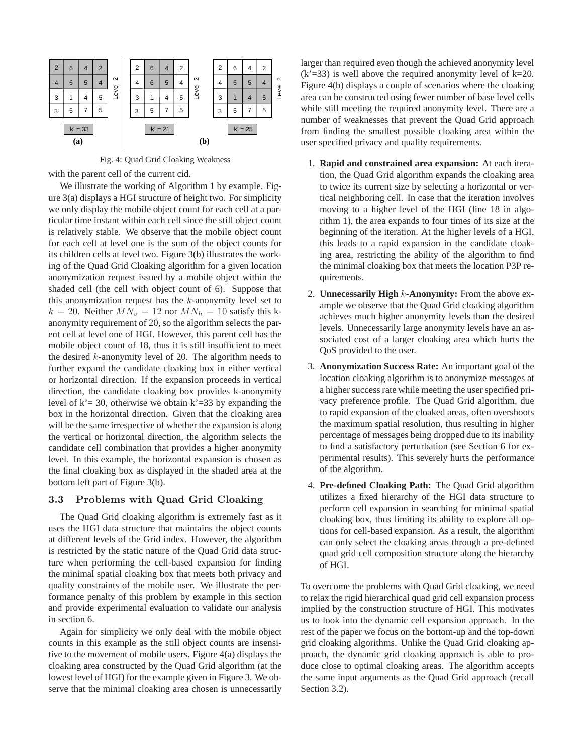

Fig. 4: Quad Grid Cloaking Weakness

with the parent cell of the current cid.

We illustrate the working of Algorithm 1 by example. Figure 3(a) displays a HGI structure of height two. For simplicity we only display the mobile object count for each cell at a particular time instant within each cell since the still object count is relatively stable. We observe that the mobile object count for each cell at level one is the sum of the object counts for its children cells at level two. Figure 3(b) illustrates the working of the Quad Grid Cloaking algorithm for a given location anonymization request issued by a mobile object within the shaded cell (the cell with object count of 6). Suppose that this anonymization request has the  $k$ -anonymity level set to  $k = 20$ . Neither  $MN_v = 12$  nor  $MN_h = 10$  satisfy this kanonymity requirement of 20, so the algorithm selects the parent cell at level one of HGI. However, this parent cell has the mobile object count of 18, thus it is still insufficient to meet the desired  $k$ -anonymity level of 20. The algorithm needs to further expand the candidate cloaking box in either vertical or horizontal direction. If the expansion proceeds in vertical direction, the candidate cloaking box provides k-anonymity level of  $k = 30$ , otherwise we obtain  $k = 33$  by expanding the box in the horizontal direction. Given that the cloaking area will be the same irrespective of whether the expansion is along the vertical or horizontal direction, the algorithm selects the candidate cell combination that provides a higher anonymity level. In this example, the horizontal expansion is chosen as the final cloaking box as displayed in the shaded area at the bottom left part of Figure 3(b).

## 3.3 Problems with Quad Grid Cloaking

The Quad Grid cloaking algorithm is extremely fast as it uses the HGI data structure that maintains the object counts at different levels of the Grid index. However, the algorithm is restricted by the static nature of the Quad Grid data structure when performing the cell-based expansion for finding the minimal spatial cloaking box that meets both privacy and quality constraints of the mobile user. We illustrate the performance penalty of this problem by example in this section and provide experimental evaluation to validate our analysis in section 6.

Again for simplicity we only deal with the mobile object counts in this example as the still object counts are insensitive to the movement of mobile users. Figure 4(a) displays the cloaking area constructed by the Quad Grid algorithm (at the lowest level of HGI) for the example given in Figure 3. We observe that the minimal cloaking area chosen is unnecessarily larger than required even though the achieved anonymity level  $(k'=33)$  is well above the required anonymity level of  $k=20$ . Figure 4(b) displays a couple of scenarios where the cloaking area can be constructed using fewer number of base level cells while still meeting the required anonymity level. There are a number of weaknesses that prevent the Quad Grid approach from finding the smallest possible cloaking area within the user specified privacy and quality requirements.

- 1. **Rapid and constrained area expansion:** At each iteration, the Quad Grid algorithm expands the cloaking area to twice its current size by selecting a horizontal or vertical neighboring cell. In case that the iteration involves moving to a higher level of the HGI (line 18 in algorithm 1), the area expands to four times of its size at the beginning of the iteration. At the higher levels of a HGI, this leads to a rapid expansion in the candidate cloaking area, restricting the ability of the algorithm to find the minimal cloaking box that meets the location P3P requirements.
- 2. **Unnecessarily High** k**-Anonymity:** From the above example we observe that the Quad Grid cloaking algorithm achieves much higher anonymity levels than the desired levels. Unnecessarily large anonymity levels have an associated cost of a larger cloaking area which hurts the QoS provided to the user.
- 3. **Anonymization Success Rate:** An important goal of the location cloaking algorithm is to anonymize messages at a higher success rate while meeting the user specified privacy preference profile. The Quad Grid algorithm, due to rapid expansion of the cloaked areas, often overshoots the maximum spatial resolution, thus resulting in higher percentage of messages being dropped due to its inability to find a satisfactory perturbation (see Section 6 for experimental results). This severely hurts the performance of the algorithm.
- 4. **Pre-defined Cloaking Path:** The Quad Grid algorithm utilizes a fixed hierarchy of the HGI data structure to perform cell expansion in searching for minimal spatial cloaking box, thus limiting its ability to explore all options for cell-based expansion. As a result, the algorithm can only select the cloaking areas through a pre-defined quad grid cell composition structure along the hierarchy of HGI.

To overcome the problems with Quad Grid cloaking, we need to relax the rigid hierarchical quad grid cell expansion process implied by the construction structure of HGI. This motivates us to look into the dynamic cell expansion approach. In the rest of the paper we focus on the bottom-up and the top-down grid cloaking algorithms. Unlike the Quad Grid cloaking approach, the dynamic grid cloaking approach is able to produce close to optimal cloaking areas. The algorithm accepts the same input arguments as the Quad Grid approach (recall Section 3.2).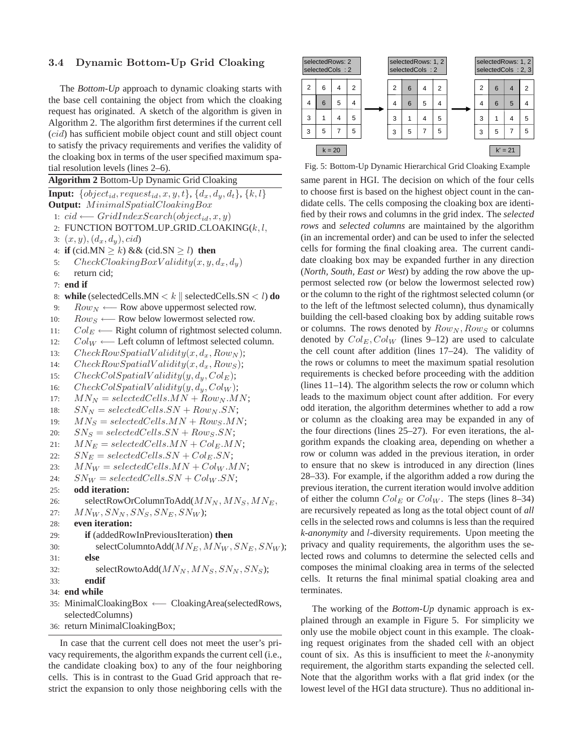## 3.4 Dynamic Bottom-Up Grid Cloaking

The *Bottom-Up* approach to dynamic cloaking starts with the base cell containing the object from which the cloaking request has originated. A sketch of the algorithm is given in Algorithm 2. The algorithm first determines if the current cell (cid) has sufficient mobile object count and still object count to satisfy the privacy requirements and verifies the validity of the cloaking box in terms of the user specified maximum spatial resolution levels (lines 2–6).

**Algorithm 2** Bottom-Up Dynamic Grid Cloaking **Input:**  $\{object_{id}, request_{id}, x, y, t\}, \{d_x, d_y, d_t\}, \{k, l\}$ **Output:**  $Minimal Spatial CloakingBox$ 1:  $cid \leftarrow GridIndexSearch(object_{id}, x, y)$ 2: FUNCTION BOTTOM\_UP\_GRID\_CLOAKING $(k, l,$ 3:  $(x, y), (d_x, d_y), cid$ 4: **if** (cid.MN  $\geq k$ ) && (cid.SN  $\geq l$ ) **then** 5:  $CheckClockingBoxValidity(x, y, d_x, d_y)$ 6: return cid; 7: **end if** 8: **while** (selectedCells.MN  $\lt k$  | selectedCells.SN  $\lt l$ ) **do** 9:  $Row_N \longleftarrow$  Row above uppermost selected row. 10:  $Row_S$  ← Row below lowermost selected row. 11:  $Col_E \longleftarrow$  Right column of rightmost selected column. 12:  $Col_W \longleftarrow$  Left column of leftmost selected column. 13:  $CheckRowSpatialValidity(x, d_x, Row_N);$ 14:  $CheckRowSpatialValidity(x, d_x, Row_S);$ 15:  $CheckColSpatial Validity(y, d_y, Col_E);$ 16:  $CheckColSpatial Validity(y, d_y, Col_W);$ 17:  $MN_N = selectedCells.MN + Row_N.MN;$ 18:  $SN_N = selectedCells SN + Row_N.SN;$ 19:  $MN_S = selectedCells.MN + Row_S.MN;$ 20:  $SN_S = selectedCells.SN + Row_S.SN;$ 21:  $MN_E = selectedCells.MN + Col_E.MN;$ 22:  $SN_E = selectedCells.SN + Col_E.SN;$ 23:  $MN_W = selectedCells.MN + Col_W.MN;$ 24:  $SN_W = selectedCells SN + Col_W.SN;$ 25: **odd iteration:** 26: selectRowOrColumnToAdd( $MN_N, MN_S, MN_E$ , 27:  $MN_W, SN_N, SN_S, SN_E, SN_W$ ; 28: **even iteration:** 29: **if** (addedRowInPreviousIteration) **then** 30: selectColumntoAdd( $M N_E$ ,  $M N_W$ ,  $S N_E$ ,  $S N_W$ ); 31: **else** 32: selectRowtoAdd( $MN_N, MN_S, SN_N, SN_S$ ); 33: **endif** 34: **end while** 35: MinimalCloakingBox ←− CloakingArea(selectedRows, selectedColumns) 36: return MinimalCloakingBox;

In case that the current cell does not meet the user's privacy requirements, the algorithm expands the current cell (i.e., the candidate cloaking box) to any of the four neighboring cells. This is in contrast to the Guad Grid approach that restrict the expansion to only those neighboring cells with the



Fig. 5: Bottom-Up Dynamic Hierarchical Grid Cloaking Example

same parent in HGI. The decision on which of the four cells to choose first is based on the highest object count in the candidate cells. The cells composing the cloaking box are identified by their rows and columns in the grid index. The *selected rows* and *selected columns* are maintained by the algorithm (in an incremental order) and can be used to infer the selected cells for forming the final cloaking area. The current candidate cloaking box may be expanded further in any direction (*North, South, East or West*) by adding the row above the uppermost selected row (or below the lowermost selected row) or the column to the right of the rightmost selected column (or to the left of the leftmost selected column), thus dynamically building the cell-based cloaking box by adding suitable rows or columns. The rows denoted by  $Row_N, Row_S$  or columns denoted by  $Col_E, Col_W$  (lines 9–12) are used to calculate the cell count after addition (lines 17–24). The validity of the rows or columns to meet the maximum spatial resolution requirements is checked before proceeding with the addition (lines 11–14). The algorithm selects the row or column which leads to the maximum object count after addition. For every odd iteration, the algorithm determines whether to add a row or column as the cloaking area may be expanded in any of the four directions (lines 25–27). For even iterations, the algorithm expands the cloaking area, depending on whether a row or column was added in the previous iteration, in order to ensure that no skew is introduced in any direction (lines 28–33). For example, if the algorithm added a row during the previous iteration, the current iteration would involve addition of either the column  $Col_E$  or  $Col_W$ . The steps (lines 8–34) are recursively repeated as long as the total object count of *all* cells in the selected rows and columns is less than the required *k-anonymity* and l-diversity requirements. Upon meeting the privacy and quality requirements, the algorithm uses the selected rows and columns to determine the selected cells and composes the minimal cloaking area in terms of the selected cells. It returns the final minimal spatial cloaking area and terminates.

The working of the *Bottom-Up* dynamic approach is explained through an example in Figure 5. For simplicity we only use the mobile object count in this example. The cloaking request originates from the shaded cell with an object count of six. As this is insufficient to meet the  $k$ -anonymity requirement, the algorithm starts expanding the selected cell. Note that the algorithm works with a flat grid index (or the lowest level of the HGI data structure). Thus no additional in-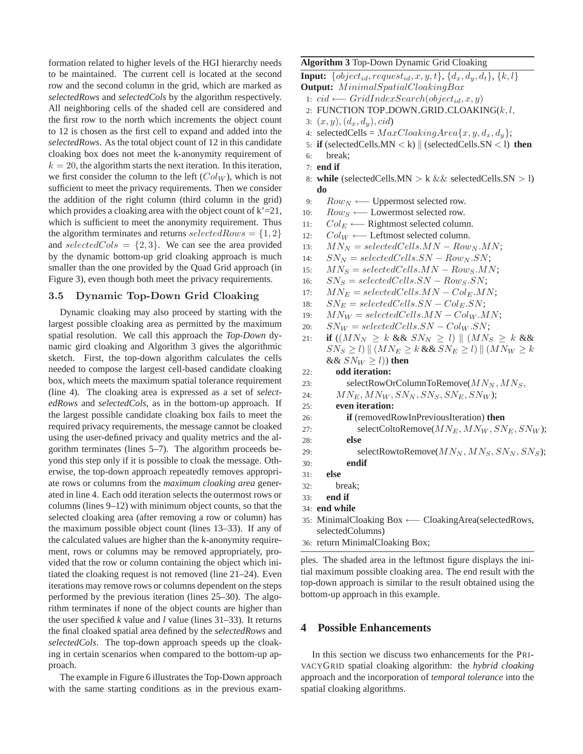formation related to higher levels of the HGI hierarchy needs to be maintained. The current cell is located at the second row and the second column in the grid, which are marked as *selectedRows* and *selectedCols* by the algorithm respectively. All neighboring cells of the shaded cell are considered and the first row to the north which increments the object count to 12 is chosen as the first cell to expand and added into the *selectedRows*. As the total object count of 12 in this candidate cloaking box does not meet the k-anonymity requirement of  $k = 20$ , the algorithm starts the next iteration. In this iteration, we first consider the column to the left  $(Col_W)$ , which is not sufficient to meet the privacy requirements. Then we consider the addition of the right column (third column in the grid) which provides a cloaking area with the object count of  $k'=21$ , which is sufficient to meet the anonymity requirement. Thus the algorithm terminates and returns  $selectedRows = \{1, 2\}$ and selectedCols =  $\{2,3\}$ . We can see the area provided by the dynamic bottom-up grid cloaking approach is much smaller than the one provided by the Quad Grid approach (in Figure 3), even though both meet the privacy requirements.

### 3.5 Dynamic Top-Down Grid Cloaking

Dynamic cloaking may also proceed by starting with the largest possible cloaking area as permitted by the maximum spatial resolution. We call this approach the *Top-Down* dynamic gird cloaking and Algorithm 3 gives the algorithmic sketch. First, the top-down algorithm calculates the cells needed to compose the largest cell-based candidate cloaking box, which meets the maximum spatial tolerance requirement (line 4). The cloaking area is expressed as a set of *selectedRows* and *selectedCols*, as in the bottom-up approach. If the largest possible candidate cloaking box fails to meet the required privacy requirements, the message cannot be cloaked using the user-defined privacy and quality metrics and the algorithm terminates (lines 5–7). The algorithm proceeds beyond this step only if it is possible to cloak the message. Otherwise, the top-down approach repeatedly removes appropriate rows or columns from the *maximum cloaking area* generated in line 4. Each odd iteration selects the outermost rows or columns (lines 9–12) with minimum object counts, so that the selected cloaking area (after removing a row or column) has the maximum possible object count (lines 13–33). If any of the calculated values are higher than the k-anonymity requirement, rows or columns may be removed appropriately, provided that the row or column containing the object which initiated the cloaking request is not removed (line 21–24). Even iterations may remove rows or columns dependent on the steps performed by the previous iteration (lines 25–30). The algorithm terminates if none of the object counts are higher than the user specified *k* value and *l* value (lines 31–33). It returns the final cloaked spatial area defined by the *selectedRows* and *selectedCols*. The top-down approach speeds up the cloaking in certain scenarios when compared to the bottom-up approach.

The example in Figure 6 illustrates the Top-Down approach with the same starting conditions as in the previous exam**Algorithm 3** Top-Down Dynamic Grid Cloaking

**Input:**  $\{object_{id}, request_{id}, x, y, t\}, \{d_x, d_y, d_t\}, \{k, l\}$ **Output:** MinimalSpatialCloakingBox

- 1:  $cid \longleftarrow GridIndexSearch(object_{id}, x, y)$
- 2: FUNCTION TOP DOWN GRID CLOAKING $(k, l)$
- 3:  $(x, y), (d_x, d_y), cid$
- 4: selectedCells =  $MaxCloudingArea{x, y, d_x, d_y};$
- 5: **if** (selectedCells.MN  $\lt k$ ) || (selectedCells.SN  $\lt 1$ ) **then**
- 6: break;
- 7: **end if**
- 8: **while** (selectedCells.MN > k && selectedCells.SN > l) **do**
- 9:  $Row_N \longleftarrow$  Uppermost selected row.
- 10:  $Row_S \longleftarrow$  Lowermost selected row.
- 11:  $Col_E \longleftarrow$  Rightmost selected column.
- 12:  $Col_W \longleftarrow$  Leftmost selected column.
- 13:  $MN_N = selectedCells.MN Row_N.MN;$
- 14:  $SN_N = selectedCells SN Row_N SN;$
- 15:  $MN_S = selectedCells.MN Row_S.MN;$
- 16:  $SN_S = selectedCells.SN Row_S.SN;$
- 17:  $MN_E = selectedCells.MN Col_E.MN;$
- 18:  $SN_E = selectedCells.SN Col_E.SN;$
- 19:  $MN_W = selectedCells.MN Col_W.MN;$
- 20:  $SN_W = selectedCells.SN Col_W.SN;$
- 21: **if**  $((MN_N \geq k \&& SN_N \geq l) \parallel (MN_S \geq k \&&$ SN<sup>S</sup> ≥ l) k (MN<sup>E</sup> ≥ k && SN<sup>E</sup> ≥ l) k (MN<sup>W</sup> ≥ k &&  $SN_W \geq l$ ) then

### 22: **odd iteration:**

- 23: selectRowOrColumnToRemove( $MN_N, MN_S$ ,
- 24:  $M N_E, M N_W, S N_N, S N_S, S N_E, S N_W$ ;

### 25: **even iteration:**

- 26: **if** (removedRowInPreviousIteration) **then** 27: selectColtoRemove( $M N_E$ ,  $M N_W$ ,  $S N_E$ ,  $S N_W$ ); 28: **else** 29: selectRowtoRemove( $MN_N, MN_S, SN_N, SN_S$ ); 30: **endif**
- 31: **else**
- 32: break;
- 33: **end if**
- 34: **end while**
- 35: MinimalCloaking Box ← CloakingArea(selectedRows, selectedColumns)
- 36: return MinimalCloaking Box;

ples. The shaded area in the leftmost figure displays the initial maximum possible cloaking area. The end result with the top-down approach is similar to the result obtained using the bottom-up approach in this example.

## **4 Possible Enhancements**

In this section we discuss two enhancements for the PRI-VACYGRID spatial cloaking algorithm: the *hybrid cloaking* approach and the incorporation of *temporal tolerance* into the spatial cloaking algorithms.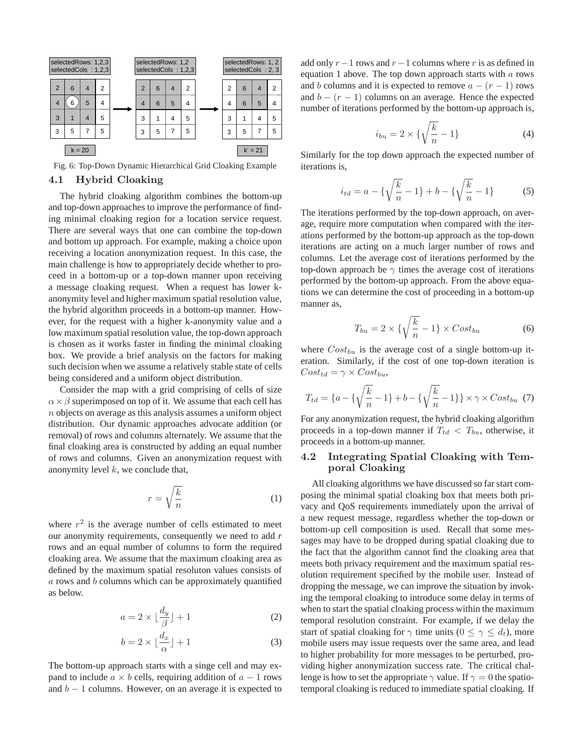

Fig. 6: Top-Down Dynamic Hierarchical Grid Cloaking Example

#### 4.1 Hybrid Cloaking

The hybrid cloaking algorithm combines the bottom-up and top-down approaches to improve the performance of finding minimal cloaking region for a location service request. There are several ways that one can combine the top-down and bottom up approach. For example, making a choice upon receiving a location anonymization request. In this case, the main challenge is how to appropriately decide whether to proceed in a bottom-up or a top-down manner upon receiving a message cloaking request. When a request has lower kanonymity level and higher maximum spatial resolution value, the hybrid algorithm proceeds in a bottom-up manner. However, for the request with a higher k-anonymity value and a low maximum spatial resolution value, the top-down approach is chosen as it works faster in finding the minimal cloaking box. We provide a brief analysis on the factors for making such decision when we assume a relatively stable state of cells being considered and a uniform object distribution.

Consider the map with a grid comprising of cells of size  $\alpha \times \beta$  superimposed on top of it. We assume that each cell has  $n$  objects on average as this analysis assumes a uniform object distribution. Our dynamic approaches advocate addition (or removal) of rows and columns alternately. We assume that the final cloaking area is constructed by adding an equal number of rows and columns. Given an anonymization request with anonymity level  $k$ , we conclude that,

$$
r = \sqrt{\frac{k}{n}}\tag{1}
$$

where  $r^2$  is the average number of cells estimated to meet our anonymity requirements, consequently we need to add *r* rows and an equal number of columns to form the required cloaking area. We assume that the maximum cloaking area as defined by the maximum spatial resoluton values consists of  $a$  rows and  $b$  columns which can be approximately quantified as below.

$$
a = 2 \times \lfloor \frac{d_y}{\beta} \rfloor + 1 \tag{2}
$$

$$
b = 2 \times \lfloor \frac{d_x}{\alpha} \rfloor + 1 \tag{3}
$$

The bottom-up approach starts with a singe cell and may expand to include  $a \times b$  cells, requiring addition of  $a - 1$  rows and  $b - 1$  columns. However, on an average it is expected to add only  $r-1$  rows and  $r-1$  columns where r is as defined in equation 1 above. The top down approach starts with  $a$  rows and b columns and it is expected to remove  $a - (r - 1)$  rows and  $b - (r - 1)$  columns on an average. Hence the expected number of iterations performed by the bottom-up approach is,

$$
i_{bu} = 2 \times \{\sqrt{\frac{k}{n}} - 1\}
$$
 (4)

Similarly for the top down approach the expected number of iterations is,

$$
i_{td} = a - \{\sqrt{\frac{k}{n}} - 1\} + b - \{\sqrt{\frac{k}{n}} - 1\}
$$
 (5)

The iterations performed by the top-down approach, on average, require more computation when compared with the iterations performed by the bottom-up approach as the top-down iterations are acting on a much larger number of rows and columns. Let the average cost of iterations performed by the top-down approach be  $\gamma$  times the average cost of iterations performed by the bottom-up approach. From the above equations we can determine the cost of proceeding in a bottom-up manner as,

$$
T_{bu} = 2 \times \{\sqrt{\frac{k}{n}} - 1\} \times Cost_{bu} \tag{6}
$$

where  $Cost_{bu}$  is the average cost of a single bottom-up iteration. Similarly, if the cost of one top-down iteration is  $Cost_{td} = \gamma \times Cost_{bu},$ 

$$
T_{td} = \{a - \{\sqrt{\frac{k}{n}} - 1\} + b - \{\sqrt{\frac{k}{n}} - 1\}\} \times \gamma \times Cost_{bu} \tag{7}
$$

For any anonymization request, the hybrid cloaking algorithm proceeds in a top-down manner if  $T_{td} < T_{bu}$ , otherwise, it proceeds in a bottom-up manner.

## 4.2 Integrating Spatial Cloaking with Temporal Cloaking

All cloaking algorithms we have discussed so far start composing the minimal spatial cloaking box that meets both privacy and QoS requirements immediately upon the arrival of a new request message, regardless whether the top-down or bottom-up cell composition is used. Recall that some messages may have to be dropped during spatial cloaking due to the fact that the algorithm cannot find the cloaking area that meets both privacy requirement and the maximum spatial resolution requirement specified by the mobile user. Instead of dropping the message, we can improve the situation by invoking the temporal cloaking to introduce some delay in terms of when to start the spatial cloaking process within the maximum temporal resolution constraint. For example, if we delay the start of spatial cloaking for  $\gamma$  time units ( $0 \leq \gamma \leq d_t$ ), more mobile users may issue requests over the same area, and lead to higher probability for more messages to be perturbed, providing higher anonymization success rate. The critical challenge is how to set the appropriate  $\gamma$  value. If  $\gamma = 0$  the spatiotemporal cloaking is reduced to immediate spatial cloaking. If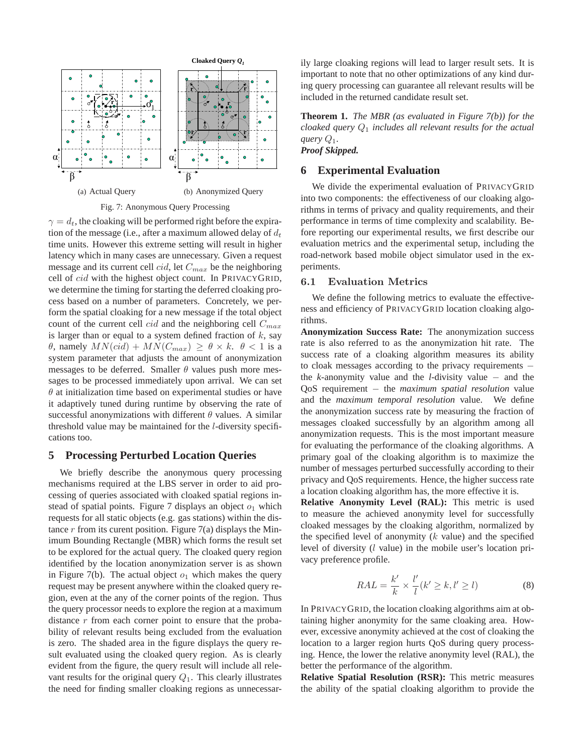

Fig. 7: Anonymous Query Processing

 $\gamma = d_t$ , the cloaking will be performed right before the expiration of the message (i.e., after a maximum allowed delay of  $d_t$ time units. However this extreme setting will result in higher latency which in many cases are unnecessary. Given a request message and its current cell  $cid$ , let  $C_{max}$  be the neighboring cell of *cid* with the highest object count. In PRIVACYGRID, we determine the timing for starting the deferred cloaking process based on a number of parameters. Concretely, we perform the spatial cloaking for a new message if the total object count of the current cell *cid* and the neighboring cell  $C_{max}$ is larger than or equal to a system defined fraction of  $k$ , say θ, namely  $MN(cid) + MN(C_{max}) \ge \theta \times k$ .  $\theta < 1$  is a system parameter that adjusts the amount of anonymization messages to be deferred. Smaller  $\theta$  values push more messages to be processed immediately upon arrival. We can set  $\theta$  at initialization time based on experimental studies or have it adaptively tuned during runtime by observing the rate of successful anonymizations with different  $\theta$  values. A similar threshold value may be maintained for the l-diversity specifications too.

## **5 Processing Perturbed Location Queries**

We briefly describe the anonymous query processing mechanisms required at the LBS server in order to aid processing of queries associated with cloaked spatial regions instead of spatial points. Figure 7 displays an object  $o_1$  which requests for all static objects (e.g. gas stations) within the distance  $r$  from its curent position. Figure 7(a) displays the Minimum Bounding Rectangle (MBR) which forms the result set to be explored for the actual query. The cloaked query region identified by the location anonymization server is as shown in Figure 7(b). The actual object  $o_1$  which makes the query request may be present anywhere within the cloaked query region, even at the any of the corner points of the region. Thus the query processor needs to explore the region at a maximum distance  $r$  from each corner point to ensure that the probability of relevant results being excluded from the evaluation is zero. The shaded area in the figure displays the query result evaluated using the cloaked query region. As is clearly evident from the figure, the query result will include all relevant results for the original query  $Q_1$ . This clearly illustrates the need for finding smaller cloaking regions as unnecessarily large cloaking regions will lead to larger result sets. It is important to note that no other optimizations of any kind during query processing can guarantee all relevant results will be included in the returned candidate result set.

**Theorem 1.** *The MBR (as evaluated in Figure 7(b)) for the cloaked query* Q<sup>1</sup> *includes all relevant results for the actual query*  $Q_1$ *. Proof Skipped.*

### **6 Experimental Evaluation**

We divide the experimental evaluation of PRIVACYGRID into two components: the effectiveness of our cloaking algorithms in terms of privacy and quality requirements, and their performance in terms of time complexity and scalability. Before reporting our experimental results, we first describe our evaluation metrics and the experimental setup, including the road-network based mobile object simulator used in the experiments.

### 6.1 Evaluation Metrics

We define the following metrics to evaluate the effectiveness and efficiency of PRIVACYGRID location cloaking algorithms.

**Anonymization Success Rate:** The anonymization success rate is also referred to as the anonymization hit rate. The success rate of a cloaking algorithm measures its ability to cloak messages according to the privacy requirements − the *k*-anonymity value and the *l*-divisity value − and the QoS requirement – the *maximum spatial resolution* value and the *maximum temporal resolution* value. We define the anonymization success rate by measuring the fraction of messages cloaked successfully by an algorithm among all anonymization requests. This is the most important measure for evaluating the performance of the cloaking algorithms. A primary goal of the cloaking algorithm is to maximize the number of messages perturbed successfully according to their privacy and QoS requirements. Hence, the higher success rate a location cloaking algorithm has, the more effective it is.

**Relative Anonymity Level (RAL):** This metric is used to measure the achieved anonymity level for successfully cloaked messages by the cloaking algorithm, normalized by the specified level of anonymity  $(k \text{ value})$  and the specified level of diversity (l value) in the mobile user's location privacy preference profile.

$$
RAL = \frac{k'}{k} \times \frac{l'}{l} (k' \ge k, l' \ge l)
$$
 (8)

In PRIVACYGRID, the location cloaking algorithms aim at obtaining higher anonymity for the same cloaking area. However, excessive anonymity achieved at the cost of cloaking the location to a larger region hurts QoS during query processing. Hence, the lower the relative anonymity level (RAL), the better the performance of the algorithm.

**Relative Spatial Resolution (RSR):** This metric measures the ability of the spatial cloaking algorithm to provide the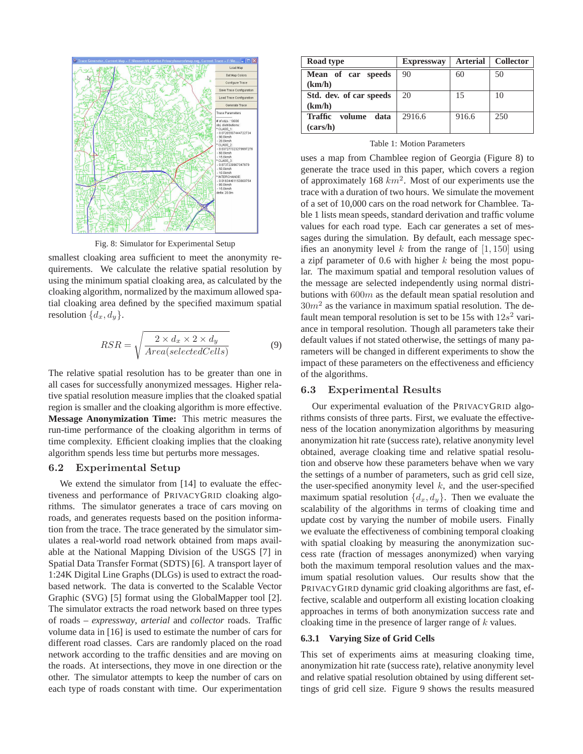

Fig. 8: Simulator for Experimental Setup

smallest cloaking area sufficient to meet the anonymity requirements. We calculate the relative spatial resolution by using the minimum spatial cloaking area, as calculated by the cloaking algorithm, normalized by the maximum allowed spatial cloaking area defined by the specified maximum spatial resolution  $\{d_x, d_y\}.$ 

$$
RSR = \sqrt{\frac{2 \times d_x \times 2 \times d_y}{Area(selfedCells)}}
$$
(9)

The relative spatial resolution has to be greater than one in all cases for successfully anonymized messages. Higher relative spatial resolution measure implies that the cloaked spatial region is smaller and the cloaking algorithm is more effective. **Message Anonymization Time:** This metric measures the run-time performance of the cloaking algorithm in terms of time complexity. Efficient cloaking implies that the cloaking algorithm spends less time but perturbs more messages.

### 6.2 Experimental Setup

We extend the simulator from [14] to evaluate the effectiveness and performance of PRIVACYGRID cloaking algorithms. The simulator generates a trace of cars moving on roads, and generates requests based on the position information from the trace. The trace generated by the simulator simulates a real-world road network obtained from maps available at the National Mapping Division of the USGS [7] in Spatial Data Transfer Format (SDTS) [6]. A transport layer of 1:24K Digital Line Graphs (DLGs) is used to extract the roadbased network. The data is converted to the Scalable Vector Graphic (SVG) [5] format using the GlobalMapper tool [2]. The simulator extracts the road network based on three types of roads – *expressway*, *arterial* and *collector* roads. Traffic volume data in [16] is used to estimate the number of cars for different road classes. Cars are randomly placed on the road network according to the traffic densities and are moving on the roads. At intersections, they move in one direction or the other. The simulator attempts to keep the number of cars on each type of roads constant with time. Our experimentation

| Road type                 | <b>Expressway</b> | <b>Arterial</b> | <b>Collector</b> |
|---------------------------|-------------------|-----------------|------------------|
| Mean of car speeds        | 90                | 60              | 50               |
| (km/h)                    |                   |                 |                  |
| Std. dev. of car speeds   | 20                | 15              | 10               |
| (km/h)                    |                   |                 |                  |
| Traffic<br>volume<br>data | 2916.6            | 916.6           | 250              |
| (cars/h)                  |                   |                 |                  |

Table 1: Motion Parameters

uses a map from Chamblee region of Georgia (Figure 8) to generate the trace used in this paper, which covers a region of approximately 168  $km^2$ . Most of our experiments use the trace with a duration of two hours. We simulate the movement of a set of 10,000 cars on the road network for Chamblee. Table 1 lists mean speeds, standard derivation and traffic volume values for each road type. Each car generates a set of messages during the simulation. By default, each message specifies an anonymity level k from the range of  $[1, 150]$  using a zipf parameter of 0.6 with higher  $k$  being the most popular. The maximum spatial and temporal resolution values of the message are selected independently using normal distributions with  $600m$  as the default mean spatial resolution and  $30m^2$  as the variance in maximum spatial resolution. The default mean temporal resolution is set to be 15s with  $12s^2$  variance in temporal resolution. Though all parameters take their default values if not stated otherwise, the settings of many parameters will be changed in different experiments to show the impact of these parameters on the effectiveness and efficiency of the algorithms.

### 6.3 Experimental Results

Our experimental evaluation of the PRIVACYGRID algorithms consists of three parts. First, we evaluate the effectiveness of the location anonymization algorithms by measuring anonymization hit rate (success rate), relative anonymity level obtained, average cloaking time and relative spatial resolution and observe how these parameters behave when we vary the settings of a number of parameters, such as grid cell size, the user-specified anonymity level  $k$ , and the user-specified maximum spatial resolution  $\{d_x, d_y\}$ . Then we evaluate the scalability of the algorithms in terms of cloaking time and update cost by varying the number of mobile users. Finally we evaluate the effectiveness of combining temporal cloaking with spatial cloaking by measuring the anonymization success rate (fraction of messages anonymized) when varying both the maximum temporal resolution values and the maximum spatial resolution values. Our results show that the PRIVACYGIRD dynamic grid cloaking algorithms are fast, effective, scalable and outperform all existing location cloaking approaches in terms of both anonymization success rate and cloaking time in the presence of larger range of  $k$  values.

### **6.3.1 Varying Size of Grid Cells**

This set of experiments aims at measuring cloaking time, anonymization hit rate (success rate), relative anonymity level and relative spatial resolution obtained by using different settings of grid cell size. Figure 9 shows the results measured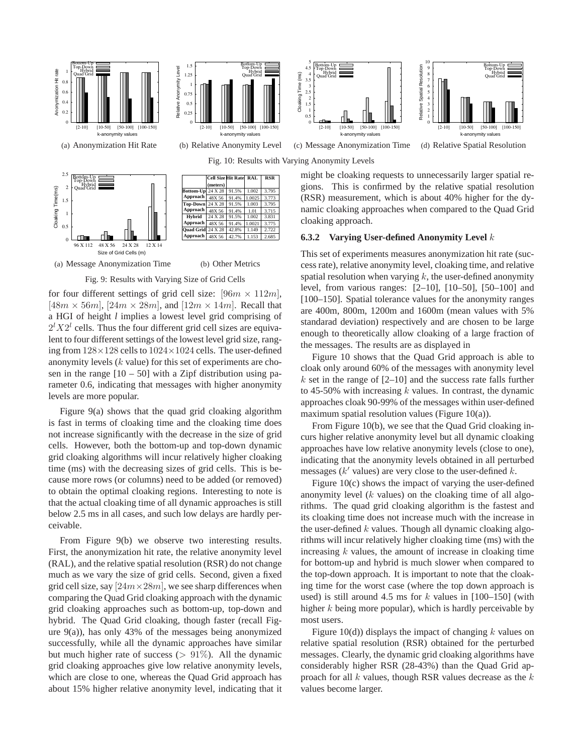

2.685

1.153

42.7%

#### **6.3.2 Varying User-defined Anonymity Level** k

This set of experiments measures anonymization hit rate (success rate), relative anonymity level, cloaking time, and relative spatial resolution when varying  $k$ , the user-defined anonymity level, from various ranges: [2–10], [10–50], [50–100] and [100–150]. Spatial tolerance values for the anonymity ranges are 400m, 800m, 1200m and 1600m (mean values with 5% standarad deviation) respectively and are chosen to be large enough to theoretically allow cloaking of a large fraction of the messages. The results are as displayed in

Figure 10 shows that the Quad Grid approach is able to cloak only around 60% of the messages with anonymity level k set in the range of  $[2-10]$  and the success rate falls further to 45-50% with increasing  $k$  values. In contrast, the dynamic approaches cloak 90-99% of the messages within user-defined maximum spatial resolution values (Figure 10(a)).

From Figure 10(b), we see that the Quad Grid cloaking incurs higher relative anonymity level but all dynamic cloaking approaches have low relative anonymity levels (close to one), indicating that the anonymity levels obtained in all perturbed messages ( $k'$  values) are very close to the user-defined  $k$ .

Figure 10(c) shows the impact of varying the user-defined anonymity level  $(k$  values) on the cloaking time of all algorithms. The quad grid cloaking algorithm is the fastest and its cloaking time does not increase much with the increase in the user-defined  $k$  values. Though all dynamic cloaking algorithms will incur relatively higher cloaking time (ms) with the increasing  $k$  values, the amount of increase in cloaking time for bottom-up and hybrid is much slower when compared to the top-down approach. It is important to note that the cloaking time for the worst case (where the top down approach is used) is still around 4.5 ms for  $k$  values in  $[100-150]$  (with higher  $k$  being more popular), which is hardly perceivable by most users.

Figure 10(d)) displays the impact of changing  $k$  values on relative spatial resolution (RSR) obtained for the perturbed messages. Clearly, the dynamic grid cloaking algorithms have considerably higher RSR (28-43%) than the Quad Grid approach for all  $k$  values, though RSR values decrease as the  $k$ values become larger.

(a) Message Anonymization Time (b) Other Metrics

96 X 112 48 X 56 24 X 28 12 X 14

Size of Grid Cells (m)

0

#### Fig. 9: Results with Varying Size of Grid Cells

48X 56

**Approach**

for four different settings of grid cell size:  $[96m \times 112m]$ ,  $[48m \times 56m]$ ,  $[24m \times 28m]$ , and  $[12m \times 14m]$ . Recall that a HGI of height *l* implies a lowest level grid comprising of  $2^{l}X2^{l}$  cells. Thus the four different grid cell sizes are equivalent to four different settings of the lowest level grid size, ranging from  $128 \times 128$  cells to  $1024 \times 1024$  cells. The user-defined anonymity levels (k value) for this set of experiments are chosen in the range  $[10 - 50]$  with a Zipf distribution using parameter 0.6, indicating that messages with higher anonymity levels are more popular.

Figure 9(a) shows that the quad grid cloaking algorithm is fast in terms of cloaking time and the cloaking time does not increase significantly with the decrease in the size of grid cells. However, both the bottom-up and top-down dynamic grid cloaking algorithms will incur relatively higher cloaking time (ms) with the decreasing sizes of grid cells. This is because more rows (or columns) need to be added (or removed) to obtain the optimal cloaking regions. Interesting to note is that the actual cloaking time of all dynamic approaches is still below 2.5 ms in all cases, and such low delays are hardly perceivable.

From Figure 9(b) we observe two interesting results. First, the anonymization hit rate, the relative anonymity level (RAL), and the relative spatial resolution (RSR) do not change much as we vary the size of grid cells. Second, given a fixed grid cell size, say  $[24m \times 28m]$ , we see sharp differences when comparing the Quad Grid cloaking approach with the dynamic grid cloaking approaches such as bottom-up, top-down and hybrid. The Quad Grid cloaking, though faster (recall Figure  $9(a)$ ), has only 43% of the messages being anonymized successfully, while all the dynamic approaches have similar but much higher rate of success ( $> 91\%$ ). All the dynamic grid cloaking approaches give low relative anonymity levels, which are close to one, whereas the Quad Grid approach has about 15% higher relative anonymity level, indicating that it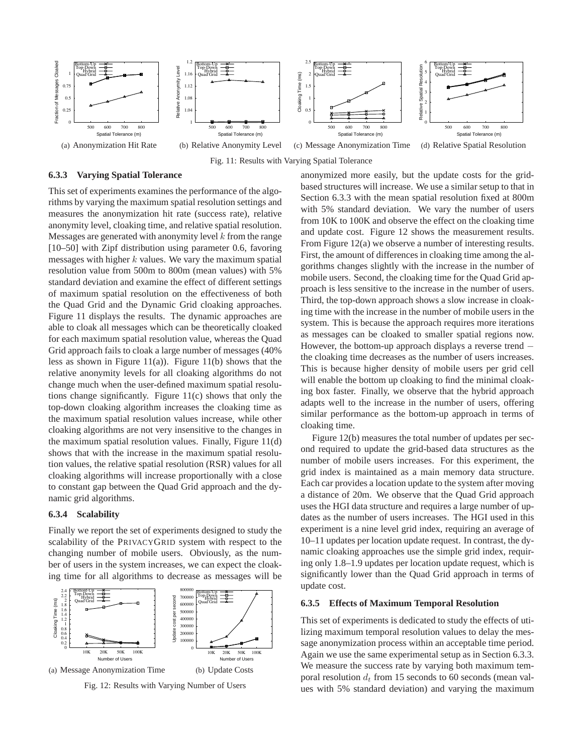

Fig. 11: Results with Varying Spatial Tolerance

### **6.3.3 Varying Spatial Tolerance**

This set of experiments examines the performance of the algorithms by varying the maximum spatial resolution settings and measures the anonymization hit rate (success rate), relative anonymity level, cloaking time, and relative spatial resolution. Messages are generated with anonymity level  $k$  from the range [10–50] with Zipf distribution using parameter 0.6, favoring messages with higher  $k$  values. We vary the maximum spatial resolution value from 500m to 800m (mean values) with 5% standard deviation and examine the effect of different settings of maximum spatial resolution on the effectiveness of both the Quad Grid and the Dynamic Grid cloaking approaches. Figure 11 displays the results. The dynamic approaches are able to cloak all messages which can be theoretically cloaked for each maximum spatial resolution value, whereas the Quad Grid approach fails to cloak a large number of messages (40% less as shown in Figure  $11(a)$ ). Figure  $11(b)$  shows that the relative anonymity levels for all cloaking algorithms do not change much when the user-defined maximum spatial resolutions change significantly. Figure 11(c) shows that only the top-down cloaking algorithm increases the cloaking time as the maximum spatial resolution values increase, while other cloaking algorithms are not very insensitive to the changes in the maximum spatial resolution values. Finally, Figure 11(d) shows that with the increase in the maximum spatial resolution values, the relative spatial resolution (RSR) values for all cloaking algorithms will increase proportionally with a close to constant gap between the Quad Grid approach and the dynamic grid algorithms.

### **6.3.4 Scalability**

Finally we report the set of experiments designed to study the scalability of the PRIVACYGRID system with respect to the changing number of mobile users. Obviously, as the number of users in the system increases, we can expect the cloaking time for all algorithms to decrease as messages will be



Fig. 12: Results with Varying Number of Users

anonymized more easily, but the update costs for the gridbased structures will increase. We use a similar setup to that in Section 6.3.3 with the mean spatial resolution fixed at 800m with 5% standard deviation. We vary the number of users from 10K to 100K and observe the effect on the cloaking time and update cost. Figure 12 shows the measurement results. From Figure 12(a) we observe a number of interesting results. First, the amount of differences in cloaking time among the algorithms changes slightly with the increase in the number of mobile users. Second, the cloaking time for the Quad Grid approach is less sensitive to the increase in the number of users. Third, the top-down approach shows a slow increase in cloaking time with the increase in the number of mobile users in the system. This is because the approach requires more iterations as messages can be cloaked to smaller spatial regions now. However, the bottom-up approach displays a reverse trend − the cloaking time decreases as the number of users increases. This is because higher density of mobile users per grid cell will enable the bottom up cloaking to find the minimal cloaking box faster. Finally, we observe that the hybrid approach adapts well to the increase in the number of users, offering similar performance as the bottom-up approach in terms of cloaking time.

Figure 12(b) measures the total number of updates per second required to update the grid-based data structures as the number of mobile users increases. For this experiment, the grid index is maintained as a main memory data structure. Each car provides a location update to the system after moving a distance of 20m. We observe that the Quad Grid approach uses the HGI data structure and requires a large number of updates as the number of users increases. The HGI used in this experiment is a nine level grid index, requiring an average of 10–11 updates per location update request. In contrast, the dynamic cloaking approaches use the simple grid index, requiring only 1.8–1.9 updates per location update request, which is significantly lower than the Quad Grid approach in terms of update cost.

#### **6.3.5 Effects of Maximum Temporal Resolution**

This set of experiments is dedicated to study the effects of utilizing maximum temporal resolution values to delay the message anonymization process within an acceptable time period. Again we use the same experimental setup as in Section 6.3.3. We measure the success rate by varying both maximum temporal resolution  $d_t$  from 15 seconds to 60 seconds (mean values with 5% standard deviation) and varying the maximum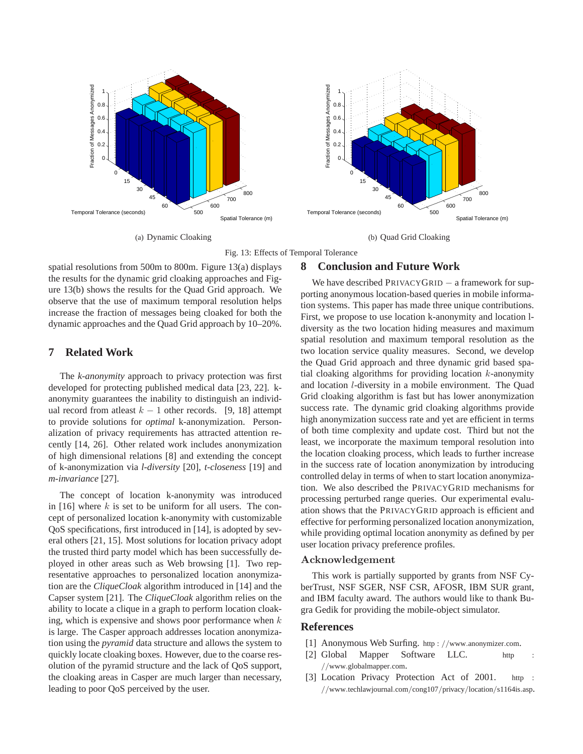

(a) Dynamic Cloaking



(b) Quad Grid Cloaking



spatial resolutions from 500m to 800m. Figure 13(a) displays the results for the dynamic grid cloaking approaches and Figure 13(b) shows the results for the Quad Grid approach. We observe that the use of maximum temporal resolution helps increase the fraction of messages being cloaked for both the dynamic approaches and the Quad Grid approach by 10–20%.

# **7 Related Work**

The *k-anonymity* approach to privacy protection was first developed for protecting published medical data [23, 22]. kanonymity guarantees the inability to distinguish an individual record from at least  $k - 1$  other records. [9, 18] attempt to provide solutions for *optimal* k-anonymization. Personalization of privacy requirements has attracted attention recently [14, 26]. Other related work includes anonymization of high dimensional relations [8] and extending the concept of k-anonymization via *l-diversity* [20], *t-closeness* [19] and *m-invariance* [27].

The concept of location k-anonymity was introduced in [16] where  $k$  is set to be uniform for all users. The concept of personalized location k-anonymity with customizable QoS specifications, first introduced in [14], is adopted by several others [21, 15]. Most solutions for location privacy adopt the trusted third party model which has been successfully deployed in other areas such as Web browsing [1]. Two representative approaches to personalized location anonymization are the *CliqueCloak* algorithm introduced in [14] and the Capser system [21]. The *CliqueCloak* algorithm relies on the ability to locate a clique in a graph to perform location cloaking, which is expensive and shows poor performance when  $k$ is large. The Casper approach addresses location anonymization using the *pyramid* data structure and allows the system to quickly locate cloaking boxes. However, due to the coarse resolution of the pyramid structure and the lack of QoS support, the cloaking areas in Casper are much larger than necessary, leading to poor QoS perceived by the user.

# **8 Conclusion and Future Work**

We have described PRIVACYGRID − a framework for supporting anonymous location-based queries in mobile information systems. This paper has made three unique contributions. First, we propose to use location k-anonymity and location ldiversity as the two location hiding measures and maximum spatial resolution and maximum temporal resolution as the two location service quality measures. Second, we develop the Quad Grid approach and three dynamic grid based spatial cloaking algorithms for providing location  $k$ -anonymity and location l-diversity in a mobile environment. The Quad Grid cloaking algorithm is fast but has lower anonymization success rate. The dynamic grid cloaking algorithms provide high anonymization success rate and yet are efficient in terms of both time complexity and update cost. Third but not the least, we incorporate the maximum temporal resolution into the location cloaking process, which leads to further increase in the success rate of location anonymization by introducing controlled delay in terms of when to start location anonymization. We also described the PRIVACYGRID mechanisms for processing perturbed range queries. Our experimental evaluation shows that the PRIVACYGRID approach is efficient and effective for performing personalized location anonymization, while providing optimal location anonymity as defined by per user location privacy preference profiles.

# Acknowledgement

This work is partially supported by grants from NSF CyberTrust, NSF SGER, NSF CSR, AFOSR, IBM SUR grant, and IBM faculty award. The authors would like to thank Bugra Gedik for providing the mobile-object simulator.

# **References**

- [1] Anonymous Web Surfing. http : //www.anonymizer.com.
- [2] Global Mapper Software LLC. http //www.globalmapper.com.
- [3] Location Privacy Protection Act of 2001. http: //www.techlawjournal.com/cong107/privacy/location/s1164is.asp.